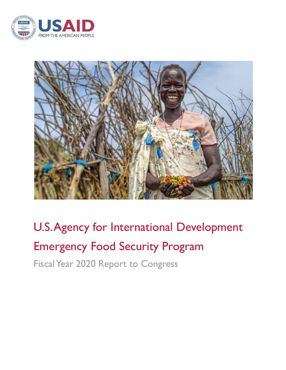



# U.S.Agency for International Development Emergency Food Security Program Fiscal Year 2020 Report to Congress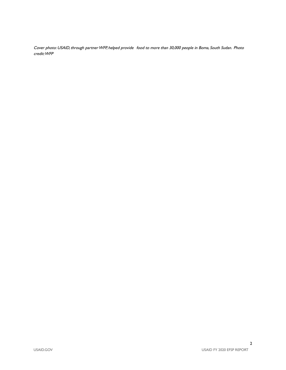Cover photo: USAID, through partner WFP, helped provide food to more than 30,000 people in Boma, South Sudan. Photo credit:WFP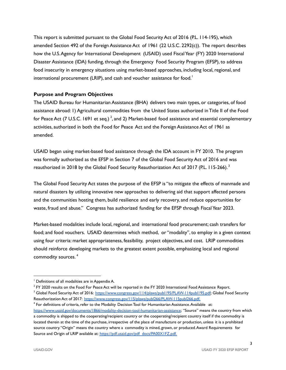This report is submitted pursuant to the Global Food Security Act of 2016 (P.L. 114-195), which amended Section 492 of the Foreign Assistance Act of 1961 (22 U.S.C. 2292(c)). The report describes how the U.S. Agency for International Development (USAID) used Fiscal Year (FY) 2020 International Disaster Assistance (IDA) funding, through the Emergency Food Security Program (EFSP), to address food insecurity in emergency situations using market-based approaches, including local, regional, and international procurement (LRIP), and cash and voucher assistance for food. $^{\mathrm{!}}$ 

## **Purpose and Program Objectives**

The USAID Bureau for Humanitarian Assistance (BHA) delivers two main types, or categories, of food assistance abroad: 1) Agricultural commodities from the United States authorized in Title II of the Food for Peace Act (7 U.S.C. 1691 et seq.)  $^2$ , and 2) Market-based food assistance and essential complementary activities, authorized in both the Food for Peace Act and the Foreign Assistance Act of 1961 as amended.

USAID began using market-based food assistance through the IDA account in FY 2010. The program was formally authorized as the EFSP in Section 7 of the Global Food Security Act of 2016 and was reauthorized in 2018 by the Global Food Security Reauthorization Act of 2017 (P.L. 115-266).<sup>3</sup>

The Global Food Security Act states the purpose of the EFSP is "to mitigate the effects of manmade and natural disasters by utilizing innovative new approaches to delivering aid that support affected persons and the communities hosting them, build resilience and early recovery, and reduce opportunities for waste, fraud and abuse." Congress has authorized funding for the EFSP through Fiscal Year 2023.

Market-based modalities include local, regional, and international food procurement; cash transfers for food; and food vouchers. USAID determines which method, or "modality", to employ in a given context using four criteria: market appropriateness, feasibility, project objectives, and cost. LRIP commodities should reinforce developing markets to the greatest extent possible, emphasizing local and regional commodity sources. 4

<sup>&</sup>lt;sup>1</sup> Definitions of all modalities are in Appendix A.

<sup>&</sup>lt;sup>3</sup> Global Food Security Act of 2016: [https://www.congress.gov/114/plaws/publ195/PLAW-114publ195.pdf;](https://www.congress.gov/114/plaws/publ195/PLAW-114publ195.pdf) Global Food Security Reauthorization Act of 2017: [https://www.congress.gov/115/plaws/publ266/PLAW-115publ266.pdf.](https://www.congress.gov/115/plaws/publ266/PLAW-115publ266.pdf)  $2$  FY 2020 results on the Food For Peace Act will be reported in the FY 2020 International Food Assistance Report.

<sup>4</sup> For definitions of criteria, refer to the Modality Decision Tool for Humanitarian Assistance.Available at: <https://www.usaid.gov/documents/1866/modality-decision-tool-humanitarian-assistance>; "Source" means the country from which a commodity is shipped to the cooperating/recipient country or the cooperating/recipient country itself if the commodity is located therein at the time of the purchase, irrespective of the place of manufacture or production, unless it is a prohibited source country."Origin" means the country where a commodity is mined, grown, or produced.Award Requirements for Source and Origin of LRIP available at: [https://pdf.usaid.gov/pdf\\_docs/PA00X1FZ.pdf.](https://pdf.usaid.gov/pdf_docs/PA00X1FZ.pdf)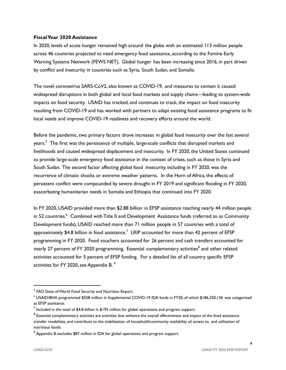## **FiscalYear 2020 Assistance**

In 2020, levels of acute hunger remained high around the globe with an estimated 113 million people across 46 countries projected to need emergency food assistance, according to the Famine Early Warning Systems Network (FEWS NET). Global hunger has been increasing since 2016, in part driven by conflict and insecurity in countries such as Syria, South Sudan, and Somalia.

The novel coronavirus SARS-CoV2, also known as COVID-19, and measures to contain it caused widespread disruptions in both global and local food markets and supply chains—leading to system-wide impacts on food security. USAID has tracked, and continues to track, the impact on food insecurity resulting from COVID-19 and has worked with partners to adapt existing food assistance programs to fit local needs and improve COVID-19 readiness and recovery efforts around the world.

Before the pandemic, two primary factors drove increases in global food insecurity over the last several years.<sup>5</sup> The first was the persistence of multiple, large-scale conflicts that disrupted markets and livelihoods and caused widespread displacement and insecurity. In FY 2020, the United States continued to provide large-scale emergency food assistance in the context of crises, such as those in Syria and South Sudan. The second factor affecting global food insecurity, including in FY 2020, was the recurrence of climatic shocks or extreme weather patterns. In the Horn of Africa, the effects of persistent conflict were compounded by severe drought in FY 2019 and significant flooding in FY 2020, exacerbating humanitarian needs in Somalia and Ethiopia that continued into FY 2020.

In FY 2020, USAID provided more than \$2.88 billion in EFSP assistance reaching nearly 44 million people in 52 countries. <sup>6</sup> Combined with Title II and Development Assistance funds (referred to as Community Development funds), USAID reached more than 71 million people in 57 countries with a total of approximately \$4.8 billion in food assistance. $^7\,$  LRIP accounted for more than 42 percent of EFSP programming in FY 2020. Food vouchers accounted for 26 percent and cash transfers accounted for nearly 27 percent of FY 2020 programming. Essential complementary activities<sup>8</sup> and other related activities accounted for 5 percent of EFSP funding. For a detailed list of all country specific EFSP activities for FY 2020, see Appendix B.  $^{\circ}$ 

<sup>&</sup>lt;sup>5</sup> FAO State of World Food Security and Nutrition Report.

<sup>6</sup> USAID/BHA programmed \$558 million in Supplemental COVID-19 IDA funds in FY20, of which \$186,350,136 was categorized as EFSP assistance.

 $^7$  Included in the total of \$4.8 billion is \$195 million for global operations and program support.

 $8$  Essential complementary activities are activities that enhance the overall effectiveness and impact of the food assistance transfer modalities, and contribute to the stabilization of household/community availability of, access to, and utilization of nutritious foods.

 $9$  Appendix B excludes \$87 million in IDA for global operations and program support.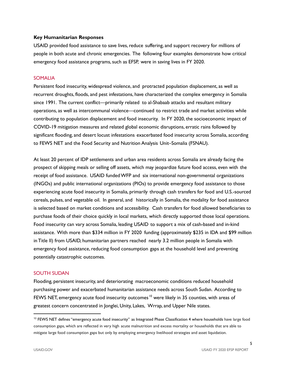## **Key Humanitarian Responses**

USAID provided food assistance to save lives, reduce suffering, and support recovery for millions of people in both acute and chronic emergencies. The following four examples demonstrate how critical emergency food assistance programs, such as EFSP, were in saving lives in FY 2020.

#### SOMALIA

Persistent food insecurity, widespread violence, and protracted population displacement, as well as recurrent droughts, floods, and pest infestations, have characterized the complex emergency in Somalia since 1991. The current conflict—primarily related to al-Shabaab attacks and resultant military operations, as well as intercommunal violence—continued to restrict trade and market activities while contributing to population displacement and food insecurity. In FY 2020, the socioeconomic impact of COVID-19 mitigation measures and related global economic disruptions, erratic rains followed by significant flooding, and desert locust infestations exacerbated food insecurity across Somalia, according to FEWS NET and the Food Security and Nutrition Analysis Unit–Somalia (FSNAU).

At least 20 percent of IDP settlements and urban area residents across Somalia are already facing the prospect of skipping meals or selling off assets, which may jeopardize future food access, even with the receipt of food assistance. USAID fundedWFP and six international non-governmental organizations (INGOs) and public international organizations (PIOs) to provide emergency food assistance to those experiencing acute food insecurity in Somalia, primarily through cash transfers for food and U.S.-sourced cereals, pulses, and vegetable oil. In general, and historically in Somalia, the modality for food assistance is selected based on market conditions and accessibility. Cash transfers for food allowed beneficiaries to purchase foods of their choice quickly in local markets, which directly supported those local operations. Food insecurity can vary across Somalia, leading USAID to support a mix of cash-based and in-kind assistance. With more than \$334 million in FY 2020 funding (approximately \$235 in IDA and \$99 million in Title II) from USAID, humanitarian partners reached nearly 3.2 million people in Somalia with emergency food assistance, reducing food consumption gaps at the household level and preventing potentially catastrophic outcomes.

#### SOUTH SUDAN

Flooding, persistent insecurity, and deteriorating macroeconomic conditions reduced household purchasing power and exacerbated humanitarian assistance needs across South Sudan. According to FEWS NET, emergency acute food insecurity outcomes  $^{\mathsf{10}}$  were likely in 35 counties, with areas of greatest concern concentrated in Jonglei, Unity, Lakes, Wrrap, and Upper Nile states.

<sup>&</sup>lt;sup>10</sup> FEWS NET defines "emergency acute food insecurity" as Integrated Phase Classification 4 where households have large food consumption gaps, which are reflected in very high acute malnutrition and excess mortality or households that are able to mitigate large food consumption gaps but only by employing emergency livelihood strategies and asset liquidation.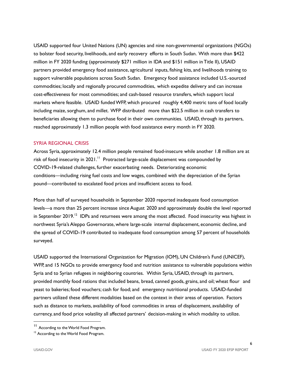USAID supported four United Nations (UN) agencies and nine non-governmental organizations (NGOs) to bolster food security, livelihoods, and early recovery efforts in South Sudan. With more than \$422 million in FY 2020 funding (approximately \$271 million in IDA and \$151 million in Title II), USAID partners provided emergency food assistance, agricultural inputs, fishing kits, and livelihoods training to support vulnerable populations across South Sudan. Emergency food assistance included U.S.-sourced commodities; locally and regionally procured commodities, which expedite delivery and can increase cost-effectiveness for most commodities; and cash-based resource transfers, which support local markets where feasible. USAID fundedWFP, which procured roughly 4,400 metric tons of food locally including maize, sorghum, and millet. WFP distributed more than \$22.5 million in cash transfers to beneficiaries allowing them to purchase food in their own communities. USAID, through its partners, reached approximately 1.3 million people with food assistance every month in FY 2020.

#### SYRIA REGIONAL CRISIS

Across Syria, approximately 12.4 million people remained food-insecure while another 1.8 million are at risk of food insecurity in 2021.<sup>11</sup> Protracted large-scale displacement was compounded by COVID-19-related challenges, further exacerbating needs. Deteriorating economic conditions—including rising fuel costs and low wages, combined with the depreciation of the Syrian pound—contributed to escalated food prices and insufficient access to food.

More than half of surveyed households in September 2020 reported inadequate food consumption levels—a more than 25 percent increase since August 2020 and approximately double the level reported in September 2019.<sup>12</sup> IDPs and returnees were among the most affected. Food insecurity was highest in northwest Syria's Aleppo Governorate, where large-scale internal displacement, economic decline, and the spread of COVID-19 contributed to inadequate food consumption among 57 percent of households surveyed.

USAID supported the International Organization for Migration (IOM), UN Children's Fund (UNICEF), WFP, and 15 NGOs to provide emergency food and nutrition assistance to vulnerable populations within Syria and to Syrian refugees in neighboring countries. Within Syria, USAID, through its partners, provided monthly food rations that included beans, bread, canned goods, grains, and oil; wheat flour and yeast to bakeries; food vouchers; cash for food; and emergency nutritional products. USAID-funded partners utilized these different modalities based on the context in their areas of operation. Factors such as distance to markets, availability of food commodities in areas of displacement, availability of currency, and food price volatility all affected partners' decision-making in which modality to utilize.

<sup>11</sup> According to the World Food Program.

<sup>&</sup>lt;sup>12</sup> According to the World Food Program.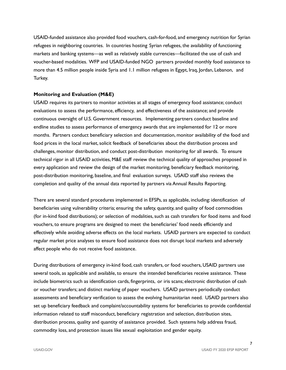USAID-funded assistance also provided food vouchers, cash-for-food, and emergency nutrition for Syrian refugees in neighboring countries. In countries hosting Syrian refugees, the availability of functioning markets and banking systems—as well as relatively stable currencies—facilitated the use of cash and voucher-based modalities. WFP and USAID-funded NGO partners provided monthly food assistance to more than 4.5 million people inside Syria and 1.1 million refugees in Egypt, Iraq, Jordan, Lebanon, and Turkey.

#### **Monitoring and Evaluation (M&E)**

USAID requires its partners to monitor activities at all stages of emergency food assistance; conduct evaluations to assess the performance, efficiency, and effectiveness of the assistance; and provide continuous oversight of U.S. Government resources. Implementing partners conduct baseline and endline studies to assess performance of emergency awards that are implemented for 12 or more months. Partners conduct beneficiary selection and documentation, monitor availability of the food and food prices in the local market, solicit feedback of beneficiaries about the distribution process and challenges, monitor distribution, and conduct post-distribution monitoring for all awards. To ensure technical rigor in all USAID activities, M&E staff review the technical quality of approaches proposed in every application and review the design of the market monitoring, beneficiary feedback monitoring, post-distribution monitoring, baseline, and final evaluation surveys. USAID staff also reviews the completion and quality of the annual data reported by partners via Annual Results Reporting.

There are several standard procedures implemented in EFSPs, as applicable, including: identification of beneficiaries using vulnerability criteria; ensuring the safety, quantity, and quality of food commodities (for in-kind food distributions); or selection of modalities,such as cash transfers for food items and food vouchers, to ensure programs are designed to meet the beneficiaries' food needs efficiently and effectively while avoiding adverse effects on the local markets. USAID partners are expected to conduct regular market price analyses to ensure food assistance does not disrupt local markets and adversely affect people who do not receive food assistance.

During distributions of emergency in-kind food, cash transfers, or food vouchers, USAID partners use several tools, as applicable and available, to ensure the intended beneficiaries receive assistance. These include biometrics such as identification cards, fingerprints, or iris scans; electronic distribution of cash or voucher transfers; and distinct marking of paper vouchers. USAID partners periodically conduct assessments and beneficiary verification to assess the evolving humanitarian need. USAID partners also set up beneficiary feedback and complaint/accountability systems for beneficiaries to provide confidential information related to staff misconduct, beneficiary registration and selection, distribution sites, distribution process, quality and quantity of assistance provided. Such systems help address fraud, commodity loss, and protection issues like sexual exploitation and gender equity.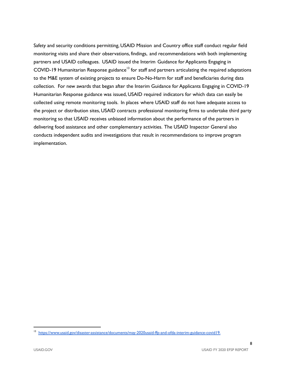Safety and security conditions permitting, USAID Mission and Country office staff conduct regular field monitoring visits and share their observations, findings, and recommendations with both implementing partners and USAID colleagues. USAID issued the Interim Guidance for Applicants Engaging in COVID-19 Humanitarian Response guidance<sup>13</sup> for staff and partners articulating the required adaptations to the M&E system of existing projects to ensure Do-No-Harm for staff and beneficiaries during data collection. For new awards that began after the Interim Guidance for Applicants Engaging in COVID-19 Humanitarian Response guidance was issued, USAID required indicators for which data can easily be collected using remote monitoring tools. In places where USAID staff do not have adequate access to the project or distribution sites, USAID contracts professional monitoring firms to undertake third party monitoring so that USAID receives unbiased information about the performance of the partners in delivering food assistance and other complementary activities. The USAID Inspector General also conducts independent audits and investigations that result in recommendations to improve program implementation.

<sup>13</sup> <https://www.usaid.gov/disaster-assistance/documents/may-2020usaid-ffp-and-ofda-interim-guidance-covid19>.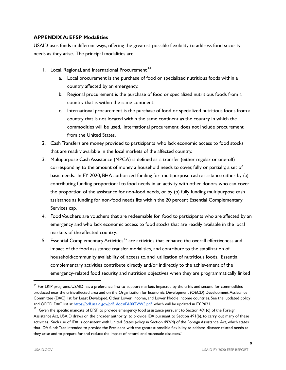# **APPENDIX A: EFSP Modalities**

USAID uses funds in different ways, offering the greatest possible flexibility to address food security needs as they arise. The principal modalities are:

- 1. Local, Regional, and International Procurement 14
	- a. Local procurement is the purchase of food or specialized nutritious foods within a country affected by an emergency.
	- b. Regional procurement is the purchase of food or specialized nutritious foods from a country that is within the same continent.
	- c. International procurement is the purchase of food or specialized nutritious foods from a country that is not located within the same continent as the country in which the commodities will be used. International procurement does not include procurement from the United States.
- 2. Cash Transfers are money provided to participants who lack economic access to food stocks that are readily available in the local markets of the affected country.
- 3. Multipurpose Cash Assistance (MPCA) is defined as a transfer (either regular or one-off) corresponding to the amount of money a household needs to cover, fully or partially, a set of basic needs. In FY 2020, BHA authorized funding for multipurpose cash assistance either by (a) contributing funding proportional to food needs in an activity with other donors who can cover the proportion of the assistance for non-food needs, or by (b) fully funding multipurpose cash assistance as funding for non-food needs fits within the 20 percent Essential Complementary Services cap.
- 4. FoodVouchers are vouchers that are redeemable for food to participants who are affected by an emergency and who lack economic access to food stocks that are readily available in the local markets of the affected country.
- 5. Essential Complementary Activities<sup>15</sup> are activities that enhance the overall effectiveness and impact of the food assistance transfer modalities, and contribute to the stabilization of household/community availability of, access to, and utilization of nutritious foods. Essential complementary activities contribute directly and/or indirectly to the achievement of the emergency-related food security and nutrition objectives when they are programmatically linked

<sup>&</sup>lt;sup>14</sup> For LRIP programs, USAID has a preference first to support markets impacted by the crisis and second for commodities produced near the crisis-affected area and on the Organization for Economic Development (OECD) Development Assistance Committee (DAC) list for Least Developed, Other Lower Income, and Lower Middle Income countries. See the updated policy and OECD DAC list at [https://pdf.usaid.gov/pdf\\_docs/PA00TVW5.pdf,](https://pdf.usaid.gov/pdf_docs/PA00TVW5.pdf) which will be updated in FY 2021.

<sup>&</sup>lt;sup>15</sup> Given the specific mandate of EFSP to provide emergency food assistance pursuant to Section 491(c) of the Foreign Assistance Act, USAID draws on the broader authority to provide IDA pursuant to Section 491(b), to carry out many of these activities. Such use of IDA is consistent with United States policy in Section 492(d) of the Foreign Assistance Act, which states that IDA funds "are intended to provide the President with the greatest possible flexibility to address disaster-related needs as they arise and to prepare for and reduce the impact of natural and manmade disasters."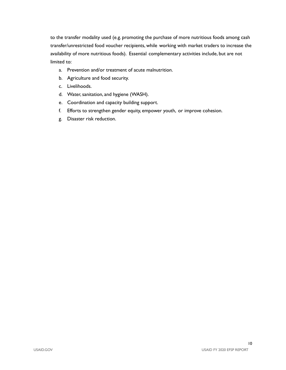to the transfer modality used (e.g. promoting the purchase of more nutritious foods among cash transfer/unrestricted food voucher recipients, while working with market traders to increase the availability of more nutritious foods). Essential complementary activities include, but are not limited to:

- a. Prevention and/or treatment of acute malnutrition.
- b. Agriculture and food security.
- c. Livelihoods.
- d. Water, sanitation, and hygiene (WASH).
- e. Coordination and capacity building support.
- f. Efforts to strengthen gender equity, empower youth, or improve cohesion.
- g. Disaster risk reduction.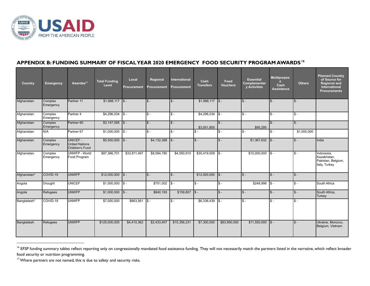

## **APPENDIX B: FUNDING SUMMARY OF FISCALYEAR 2020 EMERGENCY FOOD SECURITY PROGRAM AWARDS 16**

| Country      | <b>Emergency</b>     | Awardee <sup>17</sup>                                | <b>Total Funding</b><br>Level | Local<br><b>Procurement</b> | Regional<br><b>Procurement</b> | International<br><b>Procurement</b> | Cash<br><b>Transfers</b> | Food<br><b>Vouchers</b> | <b>Essential</b><br>Complementar<br>y Activities | <b>Multipurpos</b><br>e<br>Cash<br><b>Assistance</b> | <b>Others</b> | <b>Planned Country</b><br>of Source for<br><b>Regional and</b><br>International<br><b>Procurements</b> |
|--------------|----------------------|------------------------------------------------------|-------------------------------|-----------------------------|--------------------------------|-------------------------------------|--------------------------|-------------------------|--------------------------------------------------|------------------------------------------------------|---------------|--------------------------------------------------------------------------------------------------------|
| Afghanistan  | Complex<br>Emergency | Partner 11                                           | $$1,988,117$ $$-$             |                             | $s -$                          | $s -$                               | \$1,988,117              | $\vert$ s-              | $s -$                                            | $s -$                                                | $s -$         |                                                                                                        |
| Afghanistan  | Complex<br>Emergency | Partner 4                                            | \$4,296,034                   | $\mathsf{I}$ s –            | $s -$                          | $s -$                               | \$4,296,034              | $s -$                   | $s -$                                            | $s -$                                                | $s -$         |                                                                                                        |
| Afghanistan  | Complex<br>Emergency | Partner <sub>60</sub>                                | \$3,147,095                   | $\vert$ s-                  | $s -$                          | $s -$                               | \$3.051.800              | $s -$                   | \$95,295                                         | $s -$                                                | $s -$         |                                                                                                        |
| Afghanistan  | N/A                  | Partner <sub>67</sub>                                | \$1,000,000                   | $\sqrt{5}$                  | $S -$                          | $S -$                               | $S -$                    | $s -$                   | $s -$                                            | $s -$                                                | \$1,000,000   |                                                                                                        |
| Afghanistan  | Complex<br>Emergency | UNICEF -<br><b>United Nations</b><br>Children's Fund | \$5,500,000                   | $\sqrt{s}$                  | \$4,132,368                    | $s -$                               | $S -$                    | $S -$                   | \$1,367,632                                      | $ S -$                                               | $S -$         | India                                                                                                  |
| Afghanistan  | Complex<br>Emergency | UNWFP - World<br>Food Program                        | \$87,366,701                  | \$33,811,497                | \$8,584,780                    | \$4,550,915                         | \$30,419,509             | $S -$                   | \$10,000,000                                     | $\sqrt{s}$ .                                         | $s -$         | Indonesia.<br>Kazakhstan.<br>Pakistan, Belgium,<br>Italy, Turkey                                       |
| Afghanistan* | COVID-19             | <b>UNWFP</b>                                         | \$12,000,000                  | $\vert$ s-                  | $s -$                          | $s -$                               | \$12,000,000             | $s -$                   | $\sqrt{s}$ -                                     | $s -$                                                | $s -$         |                                                                                                        |
| Angola       | Drought              | <b>UNICEF</b>                                        | \$1,000,000                   | $\mathsf{ls}$ -             | \$751,002                      | I\$ -                               | $s -$                    | $s -$                   | \$248,998                                        | $ S -$                                               | $S -$         | South Africa                                                                                           |
| Angola       | Refugees             | <b>UNWFP</b>                                         | \$1,000,000                   | $\sqrt{S}$                  | \$840,193                      | \$159,807                           | $\sqrt{3}$ -             | $\mathsf{\$}$ -         | $\sqrt{s}$ -                                     | $S -$                                                | $S -$         | South Africa,<br><b>Turkey</b>                                                                         |
| Bangladesh*  | COVID-19             | <b>UNWFP</b>                                         | \$7,000,000                   | \$663,561                   | Is -                           | $s -$                               | \$6,336,439              | $S -$                   | ls -                                             | $s -$                                                | $S -$         |                                                                                                        |
| Bangladesh   | Refugees             | <b>UNWFP</b>                                         | \$125,000,000                 | \$4,410,362                 | \$2,433,407                    | \$15,356,231                        | \$7,300,000              | \$83,950,000            | \$11,550,000                                     | $\sqrt{s}$ -                                         | $s -$         | Ukraine, Morocco,<br>Belgium, Vietnam                                                                  |

<sup>&</sup>lt;sup>16</sup> EFSP funding summary tables reflect reporting only on congressionally mandated food assistance funding. They will not necessarily match the partners listed in the narrative, which reflect broader food security or nutrition programming.

<sup>&</sup>lt;sup>17</sup> Where partners are not named, this is due to safety and security risks.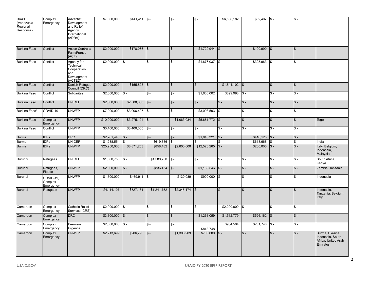| Brazil<br>(Venezuela<br>Regional<br>Response) | Complex<br>Emergency              | Adventist<br>Development<br>and Relief<br>Agency<br>International<br>(ADRA) | \$7,000,000        | $$441,411$ \\$ -  |              | $s -$       | $s -$        | \$6,506,182       | $$52,407$ \\$ - |                           | $\sqrt{3}$ - |                                                                        |
|-----------------------------------------------|-----------------------------------|-----------------------------------------------------------------------------|--------------------|-------------------|--------------|-------------|--------------|-------------------|-----------------|---------------------------|--------------|------------------------------------------------------------------------|
| <b>Burkina Faso</b>                           | Conflict                          | <b>Action Contre la</b><br>Faim/France<br>(ACF)                             | \$2,000,000        | \$178,066         | $s -$        | $s -$       | \$1,720,944  | $s -$             | \$100,990       | $s -$                     | $s -$        |                                                                        |
| Burkina Faso                                  | Conflict                          | Agency for<br>Technical<br>Cooperation<br>and<br>Development<br>(ACTED)     | \$2,000,000        | $s -$             | $s -$        | $s -$       | \$1,676,037  | Is -              | \$323,963       | $s -$                     | $s -$        |                                                                        |
| <b>Burkina Faso</b>                           | Conflict                          | Danish Refugee<br>Council (DRC)                                             | \$2,000,000        | \$155,898         | $s -$        | $s -$       | $s -$        | \$1,844,102       | $\sqrt{S}$ -    | $s -$                     | $S -$        |                                                                        |
| Burkina Faso                                  | Conflict                          | Solidarites                                                                 | \$2,000,000        | $S -$             | $S -$        | $S -$       | \$1,600,002  | \$399,998         | $s -$           | $s -$                     | $S -$        |                                                                        |
| <b>Burkina Faso</b>                           | Conflict                          | <b>UNICEF</b>                                                               | \$2,500,038        | \$2,500,038       | $s -$        | $s -$       | $s -$        | $s -$             | $s -$           | $s -$                     | $S -$        |                                                                        |
| Burkina Faso*                                 | COVID-19                          | <b>UNWFP</b>                                                                | \$7,000,000        | \$3,906,407       | $\sqrt{3}$   | $s -$       | \$3,093,593  | $s -$             | $s -$           | $s -$                     | $s -$        |                                                                        |
| <b>Burkina Faso</b>                           | Complex<br>Emergency              | <b>UNWFP</b>                                                                | \$10,000,000       | \$3,275,194       | $\sqrt{S}$ - | \$1,063,034 | \$5,661,772  | $\sqrt{s}$        | $s -$           | $s -$                     | $s -$        | Togo                                                                   |
| Burkina Faso                                  | Conflict                          | <b>UNWFP</b>                                                                | \$3,400,000        | $$3,400,000$ $$-$ |              | $s -$       | $s -$        | $s -$             | $s -$           | $\overline{\mathsf{s}}$ . | $s -$        |                                                                        |
| <b>Burma</b>                                  | <b>IDPs</b>                       | <b>DRC</b>                                                                  | \$2,261,446        | $s -$             | $S -$        | $s -$       | \$1,845,321  | $s -$             | \$416, 125      | $s -$                     | $s -$        |                                                                        |
| Burma                                         | <b>IDPs</b>                       | <b>UNICEF</b>                                                               | \$1,238,554        | $s -$             | \$619,886    | $S$ .       | \$ -         | $S -$             | \$618,668       | $s -$                     | $s -$        | India                                                                  |
| Burma                                         | <b>IDPs</b>                       | <b>UNWFP</b>                                                                | \$25,250,000       | \$8,871,253       | \$858,482    | \$2,800,000 | \$12,520,265 | $s -$             | \$200,000       | $S -$                     | $s -$        | Italy, Belgium,<br>Indonesia,<br>Malaysia                              |
| Burundi                                       | Refugees                          | <b>UNICEF</b>                                                               | \$1,580,750        | $s -$             | \$1,580,750  | $s -$       | $s -$        | $s -$             | $s -$           | $s -$                     | $s -$        | South Africa,<br>Kenya                                                 |
| Burundi                                       | Refugees,<br>Floods               | <b>UNWFP</b>                                                                | $$2,000,000$ $$-$  |                   | \$836,454    | $s -$       | \$1,163,546  | $s -$             | $s -$           | $s -$                     | $s -$        | Zambia, Tanzania                                                       |
| Burundi                                       | COVID-19,<br>Complex<br>Emergency | <b>UNWFP</b>                                                                | \$1,500,000        | \$469,911         | $s -$        | \$130,089   | \$900,000    | $s -$             | $$ -$           | $s -$                     | $s -$        | Indonesia                                                              |
| Burundi                                       | Refugees                          | <b>UNWFP</b>                                                                | \$4,114,107        | \$527,181         | \$1,241,752  |             |              | $s -$             | $s -$           | $s -$                     | $s -$        | Indonesia,<br>Tanzania, Belgium,<br>Italy                              |
| Cameroon                                      | Complex<br>Emergency              | <b>Catholic Relief</b><br>Services (CRS)                                    | $$2,000,000$ $$-$  |                   | $s -$        | $s -$       | $s -$        | $$2,000,000$ $$-$ |                 | $s -$                     | $s -$        |                                                                        |
| Cameroon                                      | Complex<br>Emergency              | <b>DRC</b>                                                                  | $$3,300,000$ $$-$  |                   | $\sqrt{s}$ - | $s -$       | \$1,261,059  | \$1,512,779       | \$526,162       | $s -$                     | $\sqrt{s}$ - |                                                                        |
| Cameroon                                      | Complex<br>Emergency              | Premiere<br>Urgence                                                         | $$2,000,000$ \\$ - |                   | $s -$        | $s -$       | \$843,748    | \$954,504         | \$201,748       | $s -$                     | $\sqrt{3}$ - |                                                                        |
| Cameroon                                      | Complex<br>Emergency              | <b>UNWFP</b>                                                                | \$2,213,699        | \$206,790         | $s -$        | \$1,306,909 | \$700,000    | $s -$             | $s -$           | $s -$                     | $s -$        | Burma, Ukraine,<br>Indonesia, South<br>Africa, United Arab<br>Emirates |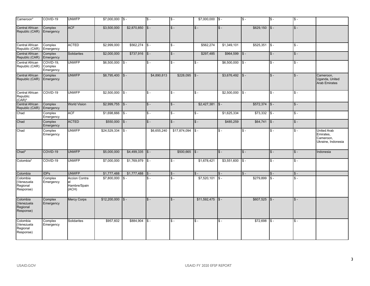| Cameroon*                                       | COVID-19                          | <b>UNWFP</b>                                  | \$7,000,000             | $\sqrt{S}$ - | $s -$        | $\overline{\$}$ -         | \$7,000,000               | $\sqrt{s}$      | $\overline{\mathsf{s}}$ - | $s -$        | $s -$        |                                                             |
|-------------------------------------------------|-----------------------------------|-----------------------------------------------|-------------------------|--------------|--------------|---------------------------|---------------------------|-----------------|---------------------------|--------------|--------------|-------------------------------------------------------------|
| Central African<br>Republic (CAR)               | Complex<br>Emergency              | <b>ACF</b>                                    | \$3,500,000             | \$2,870,850  | $s -$        | $S -$                     | $s -$                     | $s -$           | \$629,150                 | $s -$        | $s -$        |                                                             |
| Central African<br>Republic (CAR)               | Complex<br>Emergency              | <b>ACTED</b>                                  | $\overline{$2,999,000}$ | \$562,274    | $s -$        | $S -$                     | \$562.274                 | \$1.349.101     | \$525,351                 | $s -$        | $s -$        |                                                             |
| Central African<br>Republic (CAR)               | Complex<br>Emergency              | Solidarites                                   | \$2,000,000             | \$737,916    | $s -$        | $S -$                     | \$297,485                 | \$964,599       | $S -$                     | $s -$        | $s -$        |                                                             |
| Central African<br>Republic (CAR)               | COVID-19.<br>Complex<br>Emergency | <b>UNWFP</b>                                  | \$6,500,000             | $\sqrt{s}$ - | $s -$        | $\overline{\$}$ -         | $s -$                     | \$6,500,000     | $\overline{\$}$ -         | $s -$        | $s -$        |                                                             |
| Central African<br>Republic (CAR)               | Complex<br>Emergency              | <b>UNWFP</b>                                  | \$8,795,400             | $s -$        | \$4,890,813  | \$228,095                 | $s -$                     | \$3,676,492     | $S -$                     | $s -$        | $\sqrt{3}$ - | Cameroon,<br>Uganda, United<br><b>Arab Emirates</b>         |
| Central African<br>Republic<br>$(CAR)^*$        | COVID-19                          | <b>UNWFP</b>                                  | \$2,500,000             | $s -$        | $s -$        | $\overline{\mathbb{S}}$ - | $s -$                     | \$2,500,000     | $s -$                     | $s -$        | $s -$        |                                                             |
| Central African<br>Republic (CAR)               | Complex<br>Emergency              | <b>World Vision</b>                           | \$2,999,755             | $\sqrt{s}$   | $s -$        | $S -$                     | \$2,427,381               | $s -$           | \$572,374                 | $\sqrt{3}$ - | $s -$        |                                                             |
| Chad                                            | Complex<br>Emergency              | <b>ACF</b>                                    | \$1,698,666             | $s -$        | $s -$        | $\overline{\$}$ -         | $\overline{\mathsf{s}}$ - | \$1,625,334     | \$73,332                  | $s -$        | $s -$        |                                                             |
| Chad                                            | Complex<br>Emergency              | <b>ACTED</b>                                  | \$550,000               | $s -$        | $\sqrt{s}$ - | $S -$                     | $s -$                     | \$485,259       | \$64,741                  | $\sqrt{s}$   | $s -$        |                                                             |
| Chad                                            | Complex<br>Emergency              | <b>UNWFP</b>                                  | \$24,529,334            | $s -$        | \$6,655,240  | \$17,874,094              | $s -$                     | $s -$           | $S -$                     | $S -$        | $s -$        | United Arab<br>Emirates,<br>Cameroon,<br>Ukraine, Indonesia |
| Chad*                                           | COVID-19                          | <b>UNWFP</b>                                  | \$5,000,000             | \$4,499,335  | $\sqrt{S}$ - | \$500,665                 | $\sqrt{s}$ -              | $s -$           | $S -$                     | $s -$        | $s -$        | Indonesia                                                   |
| Colombia*                                       | COVID-19                          | <b>UNWFP</b>                                  | \$7,000,000             | \$1,769,979  | I\$ -        | $S -$                     | \$1,678,421               | \$3,551,600     | $s -$                     | $s -$        | $s -$        |                                                             |
| Colombia                                        | <b>IDPs</b>                       | <b>UNWFP</b>                                  | \$1,777,488             | \$1,777,488  | $s -$        | $S -$                     | $s -$                     | $\mathcal{S}$ – | $S -$                     | $s -$        | $s -$        |                                                             |
| Colombia<br>(Venezuela<br>Regional<br>Response) | Complex<br>Emergency              | <b>Accion Contra</b><br>Hambre/Spain<br>(ACH) | \$7,800,000             | $S -$        | $s -$        | $\mathbb{S}$ -            | \$7,520,101               | $s -$           | \$279,899                 | $s -$        | $s -$        |                                                             |
| Colombia<br>(Venezuela<br>Regional<br>Response) | Complex<br>Emergency              | <b>Mercy Corps</b>                            | \$12,200,000            | $s -$        | $s -$        | $S -$                     | \$11,592,475              | $s -$           | \$607,525                 | $s -$        | $s -$        |                                                             |
| Colombia<br>(Venezuela<br>Regional<br>Response) | Complex<br>Emergency              | Solidarites                                   | \$957,602               | \$884,904    | $s -$        | $\overline{\$}$ -         | $\overline{\mathsf{s}}$ . | $s -$           | \$72,698                  | $S -$        | $s -$        |                                                             |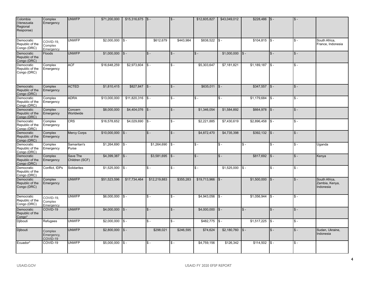| Colombia<br>(Venezuela<br>Regional<br>Response) | Complex<br>Emergency              | <b>UNWFP</b>               | \$71,200,000 | \$15,316,675 | $s -$        | $S -$                     | \$12,605,827              | \$43,049,012 | \$228,486   | $s -$                     | $s -$ |                                              |
|-------------------------------------------------|-----------------------------------|----------------------------|--------------|--------------|--------------|---------------------------|---------------------------|--------------|-------------|---------------------------|-------|----------------------------------------------|
| Democratic<br>Republic of the<br>Congo (DRC)    | COVID-19.<br>Complex<br>Emergency | <b>UNWFP</b>               | \$2,000,000  | $s -$        | \$612,679    | \$443,984                 | \$838,522                 | $s -$        | \$104,815   | $s -$                     | $s -$ | South Africa,<br>France, Indonesia           |
| Democratic<br>Republic of the<br>Congo (DRC)    | <b>Floods</b>                     | <b>UNWFP</b>               | \$1,000,000  | $s -$        | $s -$        | $S -$                     | $s -$                     | \$1,000,000  | $s -$       | $s -$                     | $s -$ |                                              |
| Democratic<br>Republic of the<br>Congo (DRC)    | Complex<br>Emergency              | <b>ACF</b>                 | \$16,648,259 | \$2,973,604  | $S -$        | $S -$                     | \$5,303,647               | \$7,181,821  | \$1,189,187 | $s -$                     | $s -$ |                                              |
| Democratic<br>Republic of the<br>Congo (DRC)    | Complex<br>Emergency              | <b>ACTED</b>               | \$1,810,415  | \$827,847    | $s -$        | $S -$                     | \$635,011                 | $s -$        | \$347,557   | $s -$                     | $s -$ |                                              |
| Democratic<br>Republic of the<br>Congo (DRC)    | Complex<br>Emergency              | <b>ADRA</b>                | \$13,000,000 | \$11,820,316 | $s -$        | $\overline{\mathbb{S}}$ - | $s -$                     | $s -$        | \$1,179,684 | $s -$                     | $s -$ |                                              |
| Democratic<br>Republic of the<br>Congo (DRC)    | Complex<br>Emergency              | Concern<br>Worldwide       | \$8,000,000  | \$4,404,076  | $s -$        | $S -$                     | \$1,346,054               | \$1,584,892  | \$664,978   | $s -$                     | $s -$ |                                              |
| Democratic<br>Republic of the<br>Congo (DRC)    | Complex<br>Emergency              | <b>CRS</b>                 | \$16,578,652 | \$4,029,690  | $s -$        | $S -$                     | \$2,221,885               | \$7,430,619  | \$2,896,458 | $s -$                     | $s -$ |                                              |
| Democratic<br>Republic of the<br>Congo (DRC)    | Complex<br>Emergency              | <b>Mercy Corps</b>         | \$10,000,000 | $s -$        | $s -$        | $S -$                     | \$4,872,470               | \$4,735,398  | \$392,132   | $s -$                     | $s -$ |                                              |
| Democratic<br>Republic of the<br>Congo (DRC)    | Complex<br>Emergency              | Samaritan's<br>Purse       | \$1,264,690  | $\sqrt{s}$ - | \$1,264,690  | $s -$                     | $s -$                     | $s -$        | $S -$       | $s -$                     | $s -$ | Uganda                                       |
| Democratic<br>Republic of the<br>Congo (DRC)    | Complex<br>Emergency              | Save The<br>Children (SCF) | \$4,399,387  | $s -$        | \$3,581,695  | $s -$                     | $s -$                     | $\sqrt{3}$ - | \$817,692   | $s -$                     | $s -$ | Kenya                                        |
| Democratic<br>Republic of the<br>Congo (DRC)    | Conflict, IDPs                    | Solidarites                | \$1,525,000  | $s -$        | $s -$        | $\overline{\mathsf{s}}$ - | $\overline{\mathsf{s}}$ . | \$1,525,000  | $s -$       | $\overline{\mathsf{s}}$ . | $s -$ |                                              |
| Democratic<br>Republic of the<br>Congo (DRC)    | Complex<br>Emergency              | <b>UNWFP</b>               | \$51,523,596 | \$17,734,464 | \$12,219,883 | \$355,283                 | \$19,713,966              | $s -$        | \$1,500,000 | $s -$                     | $s -$ | South Africa,<br>Zambia, Kenya,<br>Indonesia |
| Democratic<br>Republic of the<br>Congo (DRC)    | COVID-19,<br>Complex<br>Emergency | <b>UNWFP</b>               | \$6,000,000  | $\sqrt{s}$   | $s -$        | $S -$                     | \$4,943,056               | $s -$        | \$1,056,944 | $s -$                     | $s -$ |                                              |
| Democratic<br>Republic of the<br>Congo*         | COVID-19                          | <b>UNWFP</b>               | \$4,000,000  | $s -$        | $s -$        | $S -$                     | \$4,000,000               | $s -$        | $s -$       | $s -$                     | $s -$ |                                              |
| Djibouti                                        | Refugees                          | <b>UNWFP</b>               | \$2,000,000  | $s -$        | $s -$        | $S -$                     | \$482,775                 | $s -$        | \$1,517,225 | $s -$                     | $s -$ |                                              |
| Djibouti                                        | Complex<br>Emergency,<br>COVID-19 | <b>UNWFP</b>               | \$2,800,000  | $\sqrt{S}$ - | \$298,021    | \$246,595                 | \$74,624                  | \$2,180,760  | $s -$       | $s -$                     | $s -$ | Sudan, Ukraine,<br>Indonesia                 |
| Ecuador*                                        | COVID-19                          | <b>UNWFP</b>               | \$5,000,000  | IS -         | $s -$        | $S -$                     | \$4,759,156               | \$126,342    | \$114,502   | IS -                      | $s -$ |                                              |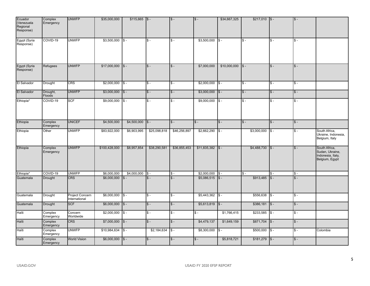| Ecuador<br>(Venezuela<br>Regional<br>Response) | Complex<br>Emergency | <b>UNWFP</b>                     | \$35,000,000       | \$115,665    | $ S -$       | $$ -$           | $\sqrt{s}$ -       | \$34,667,325 | $$217,010$ \$-            |                   | $s -$        |                                                                         |
|------------------------------------------------|----------------------|----------------------------------|--------------------|--------------|--------------|-----------------|--------------------|--------------|---------------------------|-------------------|--------------|-------------------------------------------------------------------------|
| Egypt (Syria<br>Response)                      | COVID-19             | <b>UNWFP</b>                     | \$3,500,000        | $s -$        | $s -$        | $S -$           | \$3,500,000        | $s -$        | $s -$                     | $s -$             | $s -$        |                                                                         |
| Egypt (Syria<br>Response)                      | Refugees             | <b>UNWFP</b>                     | \$17,000,000       | $\sqrt{s}$   | $s -$        | $S -$           | \$7,000,000        | \$10,000,000 | $\sqrt{S}$ -              | $s -$             | $s -$        |                                                                         |
| El Salvador                                    | Drought              | <b>CRS</b>                       | \$2,000,000        | $s -$        | $s -$        | $S -$           | \$2,000,000        | $\sqrt{s}$   | $\overline{\mathsf{s}}$ - | $\overline{\$}$ - | $s -$        |                                                                         |
| El Salvador                                    | Drought,<br>Floods   | <b>UNWFP</b>                     | $$3,000,000$ $$-$  |              | $S -$        | $S -$           | \$3,000,000        | $\sqrt{S}$ - | $s -$                     | $s -$             | $s -$        |                                                                         |
| Ethiopia*                                      | COVID-19             | <b>SCF</b>                       | \$9,000,000        | $\sqrt{S}$ - | $s -$        | $$ -$           | \$9,000,000        | $\sqrt{S}$ - | $s -$                     | $s -$             | $s -$        |                                                                         |
| Ethiopia                                       | Complex<br>Emergency | <b>UNICEF</b>                    | \$4,500,000        | \$4,500,000  | $\sqrt{3}$ - | $S -$           | $s -$              | $s -$        | $S -$                     | $s -$             | $\sqrt{S}$ - |                                                                         |
| Ethiopia                                       | Other                | <b>UNWFP</b>                     | \$83,922,000       | \$6,903,995  | \$25,098,818 | \$46,256,897    | \$2,662,290        | $s -$        | \$3,000,000               | $S -$             | $s -$        | South Africa,<br>Ukraine, Indonesia,<br>Belgium, Italy                  |
| Ethiopia                                       | Complex<br>Emergency | <b>UNWFP</b>                     | \$100,428,000      | \$8,957,854  | \$38,290,581 | \$36,855,453    | $$11,835,382$ $$-$ |              | \$4,488,730               | $\sqrt{s}$        | $s -$        | South Africa,<br>Sudan, Ukraine,<br>Indonesia, Italy,<br>Belgium, Egypt |
| Ethiopia*                                      | COVID-19             | <b>UNWFP</b>                     | \$6,000,000        | \$4,000,000  | I\$ -        | $S -$           | \$2,000,000        | $\sqrt{s}$ - | $s -$                     | $s -$             | $s -$        |                                                                         |
| Guatemala                                      | Drought              | <b>CRS</b>                       | \$6,000,000        | $s -$        | $s -$        | $\mathsf{s}$ -  | \$5,086,515        | $\sqrt{s}$ - | \$913,485                 | $s -$             | $\sqrt{3}$   |                                                                         |
| Guatemala                                      | Drought              | Project Concern<br>International | \$6,000,000        | $s -$        | $s -$        | $S -$           | \$5,443,362        | $\sqrt{3}$ - | \$556,638                 | $s -$             | $s -$        |                                                                         |
| Guatemala                                      | Drought              | <b>SCF</b>                       | \$6,000,000        | $\sqrt{s}$   | $S -$        | $S -$           | \$5,613,819        | $\vert$ \$-  | \$386,181                 | $\sqrt{s}$ -      | $S -$        |                                                                         |
| Haïti                                          | Complex<br>Emergency | Concern<br>Worldwide             | \$2,000,000        | $s -$        | $s -$        | $\mathsf{\$}$ - | $s -$              | \$1,766,415  | \$233,585                 | $\mathsf{\$}$ -   | $s -$        |                                                                         |
| Haïti                                          | Complex<br>Emergency | <b>CRS</b>                       | \$7,000,000        | $\sqrt{s}$ - | $\sqrt{s}$ - | $S -$           | \$4,479,137        | \$1,649,159  | \$871,704                 | $\sqrt{s}$        | $\sqrt{s}$ - |                                                                         |
| Haïti                                          | Complex<br>Emergency | <b>UNWFP</b>                     | \$10,984,634       | I\$ -        | \$2,184,634  | $S -$           | \$8,300,000        | $s -$        | \$500,000                 | $S -$             | $s -$        | Colombia                                                                |
| Haïti                                          | Complex<br>Emergency | <b>World Vision</b>              | $$6,000,000$ $$$ - |              | $s -$        | $S -$           | $s -$              | \$5,818,721  | \$181,279                 | $\sqrt{S}$ -      | $S -$        |                                                                         |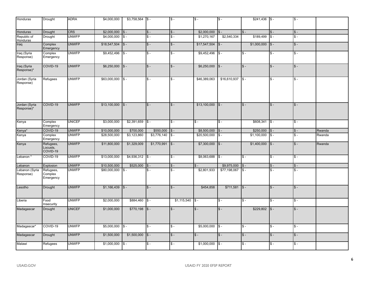| Honduras                    | Drought                           | <b>ADRA</b>   | \$4,000,000  | \$3,758,564       | $\sqrt{3}$ -    | $\overline{\$}$ - | $s -$        | $s -$                     | \$241,436                 | $\sqrt{s}$                | $s -$                     |        |
|-----------------------------|-----------------------------------|---------------|--------------|-------------------|-----------------|-------------------|--------------|---------------------------|---------------------------|---------------------------|---------------------------|--------|
| Honduras                    | Drought                           | CRS           | \$2,000,000  | $\sqrt{s}$ -      | $s -$           | $S -$             | \$2,000,000  | $s -$                     | $\mathsf{\$}$ -           | $s -$                     | $s -$                     |        |
| Republic of<br>Honduras     | Drought                           | <b>UNWFP</b>  | \$4,000,000  | $s -$             | $s -$           | $\mathbb{S}$ -    | \$1,270,167  | \$2,540,334               | \$189.499                 | $s -$                     | $\overline{\mathsf{s}}$ - |        |
| Iraq                        | Complex<br>Emergency              | <b>UNWFP</b>  | \$18,547,504 | $s -$             | $s -$           | $\overline{\$}$ - | \$17,547,504 | $\sqrt{S}$ -              | \$1,000,000               | $\sqrt{s}$                | $s -$                     |        |
| Iraq (Syria<br>Response)    | Complex<br>Emergency              | <b>UNWFP</b>  | \$9,452,496  | $s -$             | $s -$           | $\overline{\$}$ - | \$9,452,496  | $s -$                     | $s -$                     | $s -$                     | $s -$                     |        |
| Iraq (Syria<br>Response)*   | COVID-19                          | <b>UNWFP</b>  | \$6,250,000  | $s -$             | $\mathsf{\$}$ - | $S -$             | \$6,250,000  | $\sqrt{S}$ -              | $s -$                     | $s -$                     | $s -$                     |        |
| Jordan (Syria<br>Response)  | Refugees                          | <b>UNWFP</b>  | \$63,000,000 | $S -$             | $s -$           | $S -$             | \$46,389,063 | \$16,610,937              | $s -$                     | $s -$                     | $s -$                     |        |
| Jordan (Syria<br>Response)* | COVID-19                          | <b>UNWFP</b>  | \$13,100,000 | $s -$             | $\sqrt{S}$ -    | $$ -$             | \$13,100,000 | $s -$                     | $s -$                     | $s -$                     | $s -$                     |        |
| Kenya                       | Complex<br>Emergency              | <b>UNICEF</b> | \$3,000,000  | $$2,391,659$ $$-$ |                 | $S -$             | $s -$        | $s -$                     | \$608,341                 | $\sqrt{s}$                | $s -$                     |        |
| Kenya*                      | COVID-19                          | <b>UNWFP</b>  | \$10,000,000 | \$700,000         | \$550,000       | $s -$             | \$8,500,000  | $s -$                     | \$250,000                 | $\sqrt{s}$                | $s -$                     | Rwanda |
| Kenya                       | Complex<br>Emergency              | <b>UNWFP</b>  | \$28,500,000 | \$3,123,860       | \$3,776,140     | $S -$             | \$20,500,000 | $s -$                     | \$1,100,000               | $s -$                     | $s -$                     | Rwanda |
| Kenya                       | Refugees,<br>Locusts,<br>COVID-19 | <b>UNWFP</b>  | \$11,800,000 | \$1,329,009       | \$1,770,991     | $\sqrt{3}$ -      | \$7,300,000  | $\sqrt{S}$ -              | \$1,400,000               | $\sqrt{s}$                | $\sqrt{s}$ -              | Rwanda |
| Lebanon'                    | COVID-19                          | <b>UNWFP</b>  | \$13,000,000 | \$4,936,312       | $\sqrt{3}$      | $\overline{\$}$ - | \$8,063,688  | $\overline{\mathsf{s}}$ - | $\overline{\mathbb{S}}$ - | $s -$                     | $s -$                     |        |
| Lebanon                     | Explosion                         | <b>UNWFP</b>  | \$10,500,000 | \$525,000         | $s -$           | $S -$             | $s -$        | \$9,975,000               | $S -$                     | $s -$                     | $s -$                     |        |
| Lebanon (Syria<br>Response) | Refugees,<br>Complex<br>Emergency | <b>UNWFP</b>  | \$80,000,000 | $s -$             | $s -$           | $\mathbf{s}$ .    | \$2,801,933  | \$77,198,067              | $$ -$                     | $\overline{\mathbb{S}}$ - | $s -$                     |        |
| Lesotho                     | Drought                           | <b>UNWFP</b>  | \$1,166,439  | $s -$             | $s -$           | $\overline{\$}$ - | \$454,858    | \$711,581                 | $s -$                     | $s -$                     | $s -$                     |        |
| Liberia                     | Food<br>Insecurity                | <b>UNWFP</b>  | \$2,000,000  | \$884,460         | $s -$           | \$1,115,540       | $S -$        | $s -$                     | $\overline{\mathbb{S}}$ - | $s -$                     | $s -$                     |        |
| Madagascar                  | Drought                           | <b>UNICEF</b> | \$1,000,000  | \$770,198         | $s -$           | $S -$             | $s -$        | $s -$                     | \$229,802                 | $s -$                     | $s -$                     |        |
| Madagascar*                 | COVID-19                          | <b>UNWFP</b>  | \$5,000,000  | $s -$             | $s -$           | $S -$             | \$5,000,000  | $s -$                     | $S -$                     | $s -$                     | $s -$                     |        |
| Madagascar                  | Drought                           | <b>UNWFP</b>  | \$1,500,000  | \$1,500,000       | $s -$           | $\overline{\$}$ - | $s -$        | $s -$                     | $s -$                     | $s -$                     | $s -$                     |        |
| Malawi                      | Refugees                          | <b>UNWFP</b>  | \$1,000,000  | $s -$             | $S -$           | $S -$             | \$1,000,000  | $s -$                     | <b>S</b> –                | $s -$                     | $s -$                     |        |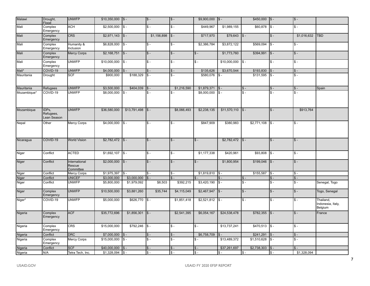| Malawi      | Drought,<br>Flood                 | <b>UNWFP</b>                         | $$10,350,000$ $$-.$ |                         | $S -$             | $s -$          | $$9,900,000$ $$-.$ |                      | $$450,000$ $$$ -  |                  | $\mathsf{\$}$ - |                                           |
|-------------|-----------------------------------|--------------------------------------|---------------------|-------------------------|-------------------|----------------|--------------------|----------------------|-------------------|------------------|-----------------|-------------------------------------------|
| Mali        | Complex<br>Emergency              | <b>ACH</b>                           | \$2,500,000         | $\overline{\text{S}}$ - | $S -$             | $s -$          | \$449,967          | \$1,989,155          | \$60,878          | $s -$            | $s -$           |                                           |
| Mali        | Complex<br>Emergency              | <b>CRS</b>                           | \$2,971,143         | $\vert$ \$-             | \$1,156,898       | $\sqrt{s}$ -   | \$717,970          | $$79,643$ $$-$       |                   | $s -$            | \$1,016,632     | <b>TBD</b>                                |
| Mali        | Complex<br>Emergency              | Humanity &<br>Inclusion              | \$6,828,000         | I\$ -                   | $S -$             | $s -$          | \$2,386,784        | \$3,872,122          | \$569,094         | $S -$            | $s -$           |                                           |
| Mali        | Complex<br>Emergency              | <b>Mercy Corps</b>                   | $$2,168,751$ $$-$   |                         | $S -$             | $\sqrt{3}$ -   | $s -$              | \$1,773,760          | \$394,991         | $s -$            | $s -$           |                                           |
| Mali        | Complex<br>Emergency              | <b>UNWFP</b>                         | \$10,000,000        | $\sqrt{s}$ -            | $S -$             | $s -$          | $s -$              | \$10,000,000         | $\sqrt{s}$        | $s -$            | $s -$           |                                           |
| Mali*       | COVID-19                          | <b>UNWFP</b>                         | \$4,000,000         | IS -                    | \$ -              | $s -$          | \$135,626          | \$3,670,544          | \$193,830         | I\$ -            | $s -$           |                                           |
| Mauritania  | Drought                           | <b>SCF</b>                           | \$900,000           | \$188,329               | $S -$             | $s -$          | \$580,076          | $S -$                | \$131,595         | $s -$            | $s -$           |                                           |
| Mauritania  | Refugees                          | <b>UNWFP</b>                         | \$3,500,000         | \$404,039               | $\mathbb{S}$ -    | \$1,216,590    | \$1,879,371        | $S -$                | $S -$             | $s -$            | $s -$           | Spain                                     |
| Mozambique* | COVID-19                          | <b>UNWFP</b>                         | \$8,000,000         | $\sqrt{s}$ -            | $S -$             | $s -$          | \$8,000,000        | $s -$                | $\overline{\$}$ - | $s -$            | $s -$           |                                           |
| Mozambique  | IDPs,<br>Refugees,<br>Lean Season | <b>UNWFP</b>                         | \$36,580,000        | \$13,791,498            | $s -$             | \$8,066,493    | \$2,238,135        | $$11,570,110$ $$-$   |                   | $s -$            | \$913,764       |                                           |
| Nepal       | Other                             | Mercy Corps                          | \$4,000,000         | $\sqrt{s}$ -            | $S -$             | $s -$          | \$847,909          | \$380,983            | \$2,771,108       | $s -$            | $s -$           |                                           |
| Nicaragua   | COVID-19                          | <b>World Vision</b>                  | \$2,782,472         | $\sqrt{5}$              | $s -$             | $S -$          | $s -$              | $$2,782,472$ $$-$    |                   | $s -$            | $s -$           |                                           |
| Niger       | Conflict                          | <b>ACTED</b>                         | \$1,692,107         | $\sqrt{s}$ -            | $S -$             | $s -$          | \$1,177,338        | \$420,961            | \$93,808          | $s -$            | $s -$           |                                           |
| Niger       | Conflict                          | International<br>Rescue<br>Committee | \$2,000,000         | $\sqrt{s}$              | $S -$             | $s -$          | $s -$              | \$1,800,954          | \$199,046         | $\sqrt{s}$ -     | $s -$           |                                           |
| Niger       | Conflict                          | Mercy Corps                          | \$1,975,397         | $s -$                   | $S -$             | $S -$          | \$1,819,810        | $s -$                | \$155,587         | $s -$            | $s -$           |                                           |
| Niger       | Conflict                          | <b>UNICEF</b>                        | \$3,000,000         | \$3,000,000             | $\overline{\$}$ - | $s -$          |                    | $\hat{\mathbf{s}}$ – | $S -$             | $$ -$            | $s -$           |                                           |
| Niger       | Conflict                          | <b>UNWFP</b>                         | \$5,800,000         | \$1,979,092             | \$8,503           | \$392,215      | \$3,420,190        | $s -$                | $$ -$             | $s -$            | $s -$           | Senegal, Togo                             |
| Niger       | Complex<br>Emergency              | <b>UNWFP</b>                         | \$10,500,000        | \$3,881,260             | \$35,744          | \$4,115,049    | \$2,467,947        | $s -$                | $S -$             | $s -$            | $s -$           | Togo, Senegal                             |
| Niger*      | COVID-19                          | <b>UNWFP</b>                         | \$5,000,000         | \$626,770               | $s -$             | \$1,851,418    | \$2,521,812        | $s -$                | $S -$             | $s -$            | $s -$           | Thailand,<br>Indonesia, Italy,<br>Belgium |
| Nigeria     | Complex<br>Emergency              | <b>ACF</b>                           | \$35,772,696        | \$1,856,301             | $\sqrt{s}$        | \$2,541,395    | \$6,054,167        | \$24,538,478         | \$782,355         | $\sqrt{s}$       | $s -$           | France                                    |
| Nigeria     | Complex<br>Emergency              | <b>CRS</b>                           | \$15,000,000        | \$792,246               | $s -$             | $s -$          | $s -$              | \$13,737,241         | \$470,513         | $\sqrt{s}$       | $s -$           |                                           |
| Nigeria     | Conflict                          | <b>DRC</b>                           | \$7,000,000         | $S -$                   | $S -$             | $\sqrt{s}$ -   | \$6,758,709        |                      | \$241,291         | $s -$            | $$ -$           |                                           |
| Nigeria     | Complex<br>Emergency              | Mercy Corps                          | \$15,000,000        | Is -                    | $S -$             | $s -$          | $s -$              | \$13,489,372         | \$1,510,628       | $s -$            | $s -$           |                                           |
| Nigeria     | Conflict                          | <b>SCF</b>                           | \$40,000,000        | $\sqrt{3}$              | $S -$             | $S -$          | $S -$              | \$37,261,697         | \$2,738,303       | $\overline{3}$ . | $S -$           |                                           |
| Nigeria     | N/A                               | Tetra Tech, Inc.                     | \$1,328,094         | $\sqrt{s}$              | $S -$             | $\mathsf{s}$ . | $\mathsf{s}$ .     | \$-                  | $\frac{1}{2}$     | \$-              | \$1,328,094     |                                           |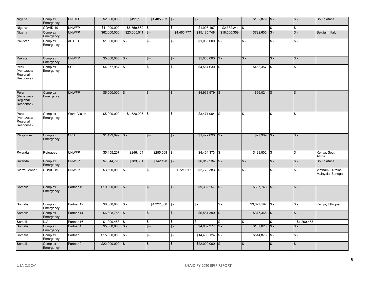| Nigeria                                     | Complex<br>Emergency | <b>UNICEF</b>        | \$2,000,000       | \$491,188       | $$1,405,933$ $$-.$ |             | $s -$        | $s -$           | $$102,879$ $$-$ |              | $\mathsf{\$}$ - | South Africa                           |
|---------------------------------------------|----------------------|----------------------|-------------------|-----------------|--------------------|-------------|--------------|-----------------|-----------------|--------------|-----------------|----------------------------------------|
| Nigeria <sup>*</sup>                        | COVID-19             | <b>UNWFP</b>         | \$11,000,000      | \$6,759,562     | $S -$              | $s -$       | \$1,908,197  | \$2,332,241     | $s -$           | $s -$        | $s -$           |                                        |
| Nigeria                                     | Complex<br>Emergency | <b>UNWFP</b>         | \$62,600,000      | \$23,665,511    | $s -$              | \$4,465,777 | \$15,185,748 | \$18,560,359    | \$722,605       | $s -$        | $s -$           | Belgium, Italy                         |
| Pakistan                                    | Complex<br>Emergency | <b>ACTED</b>         | \$1,000,000       | $s -$           | $s -$              | $s -$       | \$1,000,000  | $s -$           | $$ -$           | $s -$        | $s -$           |                                        |
| Pakistan                                    | Complex<br>Emergency | <b>UNWFP</b>         | $$5,000,000$ $$-$ |                 | $s -$              | $S -$       | \$5,000,000  | $\sqrt{3}$ -    | $$ -$           | $s -$        | $S -$           |                                        |
| Perú<br>(Venezuela<br>Regional<br>Response) | Complex<br>Emergency | <b>SCF</b>           | \$4,977,987       | $s -$           | $s -$              | $s -$       | \$4,514,630  | $s -$           | \$463,357       | $s -$        | $s -$           |                                        |
| Perú<br>(Venezuela<br>Regional<br>Response) | Complex<br>Emergency | <b>UNWFP</b>         | \$5,000,000       | $\sqrt{s}$ -    | $s -$              | $s -$       | \$4,933,979  | $s -$           | \$66,021        | $s -$        | $s -$           |                                        |
| Perú<br>(Venezuela<br>Regional<br>Response) | Complex<br>Emergency | <b>World Vision</b>  | \$5,000,000       | \$1,528,096     | $s -$              | $s -$       | \$3,471,904  | $s -$           | $S -$           | IS -         | $s -$           |                                        |
| Philippines                                 | Complex<br>Emergency | <b>CRS</b>           | \$1,499,999       | $s -$           | $s -$              | $s -$       | \$1,472,090  | $s -$           | \$27,909        | $s -$        | $s -$           |                                        |
| Rwanda                                      | Refugees             | <b>UNWFP</b>         | \$5,455,207       | \$246,464       | \$255,568          | I\$ -       | \$4,464,373  | $s -$           | \$488,802       | $s -$        | $s -$           | Kenya, South<br>Africa                 |
| Rwanda                                      | Complex<br>Emergency | <b>UNWFP</b>         | \$7,844,793       | \$783,361       | \$142,198          | $\sqrt{s}$  | \$6,919,234  | $s -$           | $S -$           | $s -$        | $s -$           | South Africa                           |
| Sierra Leone*                               | COVID-19             | <b>UNWFP</b>         | \$3,500,000       | $\mathsf{ls}$ - | $s -$              | \$721,617   | \$2,778,383  | $s -$           | $S -$           | $s -$        | $s -$           | Vietnam, Ukraine,<br>Malaysia, Senegal |
| Somalia                                     | Complex<br>Emergency | Partner 11           | \$10,000,000      | $\vert$ \$-     | $s -$              | $s -$       | \$9,392,257  | $s -$           | \$607,743       | $\sqrt{s}$ - | $s -$           |                                        |
| Somalia                                     | Complex<br>Emergency | Partner 12           | \$8,000,000       | $s -$           | \$4,322,808        | I\$ -       | $s -$        | $s -$           | \$3,677,192     | $s -$        | $s -$           | Kenya, Ethiopia                        |
| Somalia                                     | Complex<br>Emergency | Partner 14           | \$6,898,755       | $\sqrt{s}$      | $s -$              | $s -$       | \$6,581,390  | $s -$           | \$317,365       | $\sqrt{s}$ - | $s -$           |                                        |
| Somalia                                     | N/A                  | Partner 16           | \$1,290,453       | I\$ -           | $S -$              | $S -$       | ፍ.           | $s -$           | $S -$           | $S -$        | \$1,290,453     |                                        |
| Somalia                                     | Complex<br>Emergency | Partner <sub>4</sub> | \$5,000,000       | $\sqrt{s}$      | $s -$              | $s -$       | \$4,862,377  | $s -$           | \$137,623       | $s -$        | $s -$           |                                        |
| Somalia                                     | Complex<br>Emergency | Partner <sub>6</sub> | \$15,000,000      | I\$ -           | $s -$              | $s -$       | \$14,485,124 | $\mathsf{\$}$ - | \$514,876       | $S -$        | $s -$           |                                        |
| Somalia                                     | Complex<br>Emergency | Partner <sub>9</sub> | \$22,000,000      | $\sqrt{s}$      | $s -$              | $s -$       | \$22,000,000 | $s -$           | $S -$           | $s -$        | $s -$           |                                        |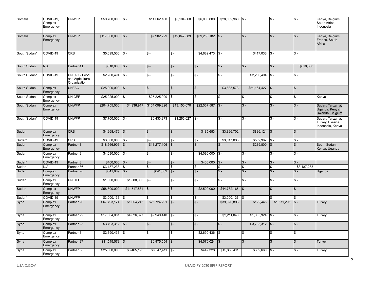| Somalia            | COVID-19,<br>Complex<br>Emergency | <b>UNWFP</b>                                    | \$50,700,000  | I\$ -           | \$11,562,180         | \$5,104,860     | \$6,000,000               | \$28,032,960    | $\sqrt{3}$ -      | \$ -                 | ∣\$ -                     | Kenya, Belgium,<br>South Africa,<br>Indonesia            |
|--------------------|-----------------------------------|-------------------------------------------------|---------------|-----------------|----------------------|-----------------|---------------------------|-----------------|-------------------|----------------------|---------------------------|----------------------------------------------------------|
| Somalia            | Complex<br>Emergency              | <b>UNWFP</b>                                    | \$117,000,000 | $s -$           | \$7,902,229          | \$19,847,589    | \$89,250,182              | $s -$           | $S -$             | $S -$                | $s -$                     | Kenya, Belgium,<br>France, South<br>Africa               |
| South Sudan*       | COVID-19                          | <b>CRS</b>                                      | \$5,099,506   | $s -$           | $s -$                | $s -$           | \$4,682,473               | $s -$           | \$417,033         | $s -$                | $s -$                     |                                                          |
| South Sudan        | N/A                               | Partner 41                                      | \$610,000     | $s -$           | $s -$                | $s -$           | $s -$                     | $s -$           | $\overline{\$}$ - | $S -$                | \$610,000                 |                                                          |
| South Sudan'       | COVID-19                          | UNFAO - Food<br>and Agriculture<br>Organization | \$2,200,494   | \$ -            | $s -$                | $s -$           | $S -$                     | $S -$           | \$2,200,494       | \$ -                 | $s -$                     |                                                          |
| South Sudan        | Complex<br>Emergency              | <b>UNFAO</b>                                    | \$25,000,000  | $s -$           | $s -$                | $s -$           | $s -$                     | \$3,835,573     | \$21,164,427      | $s -$                | $s -$                     |                                                          |
| South Sudan        | Complex<br>Emergency              | <b>UNICEF</b>                                   | \$25,225,000  | $$ -$           | \$25,225,000         | $s -$           | $\overline{\mathsf{s}}$ - | $\mathsf{\$}$ - | $\overline{\$}$ - | $\overline{\$}$ -    | $s -$                     | Kenya                                                    |
| South Sudan        | Complex<br>Emergency              | <b>UNWFP</b>                                    | \$204,755,000 | \$4,936,917     | \$164,099,826        | \$13,150,670    | \$22,567,587              | $s -$           | $S -$             | $S -$                | $s -$                     | Sudan, Tanzania,<br>Uganda, Kenya,<br>Rwanda, Belgium    |
| South Sudan*       | COVID-19                          | <b>UNWFP</b>                                    | \$7,700,000   | $S -$           | \$6,433,373          | \$1,266,627     | $s -$                     | $s -$           | $S -$             | $S -$                | $s -$                     | Sudan, Tanzania,<br>Turkey, Ukraine,<br>Indonesia, Kenya |
| Sudan              | Complex<br>Emergency              | <b>CRS</b>                                      | \$4,968,476   | $s -$           | $s -$                | $s -$           | \$185,653                 | \$3,896,702     | \$886,121         | $s -$                | $s -$                     |                                                          |
| Sudan <sup>*</sup> | COVID-19                          | <b>CRS</b>                                      | \$3,600,000   | $s -$           | $S -$                | $s -$           | $\mathsf{\$}$ .           | \$3,017,033     | \$582,967         | $\mathsf{\$}$ -      | $s -$                     |                                                          |
| Sudan              | Complex<br>Emergency              | Partner 1                                       | \$18,566,906  | $s -$           | \$18,277,106         | $s -$           | $s -$                     | $s -$           | \$289,800         | $s -$                | $s -$                     | South Sudan,<br>Kenya, Uganda                            |
| Sudan              | Complex<br>Emergency              | Partner <sub>3</sub>                            | \$4,090,000   | $s -$           | $S -$                | $s -$           | \$4,090,000               | $S -$           | $S -$             | $\mathsf{s}$ -       | $s -$                     |                                                          |
| Sudan*             | COVID-19                          | Partner <sub>3</sub>                            | \$400,000     | $s -$           | $S -$                | $\mathsf{\$}$ . | \$400,000                 | $S -$           | $\mathsf{s}$ -    | $\mathsf{\$}$ .      | $\mathcal{S}$ -           |                                                          |
| Sudan              | N/A                               | Partner 36                                      | \$3,187,233   | $S -$           | $s$ .                | $s -$           | $s -$                     | $s -$           | $S -$             | $S -$                | \$3,187,233               |                                                          |
| Sudan              | Complex<br>Emergency              | Partner 78                                      | \$641,869     | $$ -$           | \$641,869            | I\$ -           | $s -$                     | $$ -$           | $$ -$             | $\mathsf{\$}$ .      | $\hat{\mathbf{s}}$ –      | Uganda                                                   |
| Sudan              | Complex<br>Emergency              | <b>UNICEF</b>                                   | \$1,500,000   | \$1,500,000     | $s -$                | $s -$           | $\overline{\$}$ -         | $S -$           | $S -$             | $S -$                | $s -$                     |                                                          |
| Sudan              | Complex<br>Emergency              | <b>UNWFP</b>                                    | \$58,800,000  | \$11,517,834    | $s -$                | $s -$           | \$2,500,000               | \$44,782,166    | $s -$             | $S -$                | $s -$                     |                                                          |
| Sudan <sup>*</sup> | COVID-19                          | <b>UNWFP</b>                                    | \$3,000,136   |                 | $\hat{\mathbf{s}}$ - | $s -$           | $\mathsf{\$}$ .           | \$3,000,136     | $s -$             | $\hat{\mathbf{s}}$ . | $s -$                     |                                                          |
| Syria              | Complex<br>Emergency              | Partner 20                                      | \$67,793,174  | \$1,054,245     | \$25,724,291         | $s -$           | $s -$                     | \$39,320,898    | \$122,445         | \$1,571,295          | $S -$                     | <b>Turkey</b>                                            |
| Syria              | Complex<br>Emergency              | Partner <sub>22</sub>                           | \$17,864,081  | \$4,626,677     | \$9,940.440          | $\sqrt{S}$ -    | $\overline{\mathsf{s}}$ . | \$2,211,040     | \$1,085,924       | $\mathsf{s}$ -       | $\overline{\mathsf{s}}$ . | Turkey                                                   |
| Syria              | Complex<br>Emergency              | Partner <sub>25</sub>                           | \$3,793,312   | $\mathsf{ls}$ . | $s -$                | $s -$           | $s -$                     | $s -$           | \$3,793,312       | $\mathsf{ls}$ .      | $s -$                     |                                                          |
| Syria              | Complex<br>Emergency              | Partner 3                                       | \$2,690,436   | $S -$           | $s -$                | $S -$           | \$2,690,436               | $s -$           | $S -$             | $S -$                | $s -$                     |                                                          |
| Syria              | Complex<br>Emergency              | Partner 37                                      | \$11,545,578  | $s -$           | \$6,975,554          | $\sqrt{s}$ -    | \$4,570,024               | $s -$           | $s -$             | $S -$                | $s -$                     | Turkey                                                   |
| Syria              | Complex<br>Emergency              | Partner 38                                      | \$25,660,000  | \$3,465,190     | \$6,047,411          | $ S -$          | \$447,328                 | \$15,330,411    | \$369,660         | $S -$                | <b>S</b> –                | Turkey                                                   |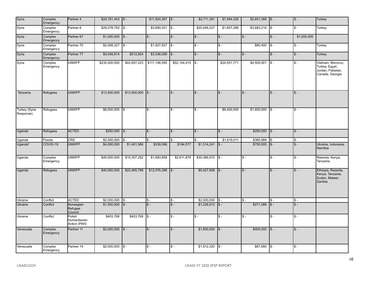| Syria                      | Complex<br>Emergency | Partner 4                              |                    |              | $$11,924,367$ \\ \$ - |                 | \$2,711,381  | \$7,494,329  | $$2,651,366$ \S -         |              | $s -$           | Turkey                                                                      |
|----------------------------|----------------------|----------------------------------------|--------------------|--------------|-----------------------|-----------------|--------------|--------------|---------------------------|--------------|-----------------|-----------------------------------------------------------------------------|
| Syria                      | Complex<br>Emergency | Partner 6                              | \$29,078,750       | $\sqrt{s}$   | \$3,690,021           | $s -$           | \$20,048,227 | \$1,657,286  | \$3,683,216               | $s -$        | $s -$           | Turkey                                                                      |
| Syria                      | Complex<br>Emergency | Partner 67                             | $$1,000,000$ $$-.$ |              | $s -$                 | $s -$           | $s -$        | $s -$        | $S -$                     | $s -$        | \$1,000,000     |                                                                             |
| Syria                      | Complex<br>Emergency | Partner 70                             | \$2,008,327        | $\sqrt{s}$   | \$1,927,927           | $\sqrt{3}$      | $s -$        | $s -$        | \$80,400                  | $s -$        | $\mathsf{\$}$ - | Turkey                                                                      |
| Syria                      | Complex<br>Emergency | Partner 77                             | \$4,048,914        | \$512,824    | \$3,536,090           | $\sqrt{S}$ -    | $s -$        | $s -$        | $S -$                     | $s -$        | $s -$           | Turkey                                                                      |
| Syria                      | Complex<br>Emergency | <b>UNWFP</b>                           | \$235,000,000      | \$42,657,223 | \$111,146,595         | \$52,144,410    | $s -$        | \$24,551,771 | \$4,500,001               | $s -$        | $s -$           | Vietnam, Morocco,<br>Turkey, Egypt,<br>Jordan, Pakistan,<br>Canada, Georgia |
| Tanzania                   | Refugees             | <b>UNWFP</b>                           | \$13,500,000       | \$13,500,000 | $s -$                 | $s -$           | $S -$        | $s -$        | $S -$                     | $\sqrt{s}$ - | $\mathsf{\$}$ - |                                                                             |
| Turkey (Syria<br>Response) | Refugees             | <b>UNWFP</b>                           | $$8,000,000$ $$-$  |              | $s -$                 | $s -$           | $s -$        | \$6,400,000  | \$1,600,000               | $s -$        | $s -$           |                                                                             |
| Uganda                     | Refugees             | <b>ACTED</b>                           | $$250,000$ $$-$    |              | $s -$                 | $\mathsf{\$}$ - | $s -$        | $s -$        | $$250,000$ $$-$           |              | $\mathsf{\$}$ - |                                                                             |
| Uganda                     | Floods               | <b>CRS</b>                             | \$2,000,000        | $s -$        | $s -$                 | $s -$           | $S -$        | \$1,619,011  | \$380,989                 | $s -$        | $s -$           |                                                                             |
| Uganda*                    | COVID-19             | <b>UNWFP</b>                           | \$4,000,000        | \$1,401,586  | \$339,596             | \$194,577       | \$1,314,241  | $s -$        | \$750,000                 | $s -$        | $s -$           | Ukraine, Indonesia,<br>Namibia                                              |
| Uganda                     | Complex<br>Emergency | <b>UNWFP</b>                           | \$45,000,000       | \$10,307,292 | \$1,693,858           | \$2,611,878     | \$30,386,972 | $\sqrt{s}$   | $S -$                     | $s -$        | $s -$           | Rwanda, Kenya,<br>Tanzania                                                  |
| Uganda                     | Refugees             | <b>UNWFP</b>                           | \$40,000,000       | \$22,495,798 | \$12,076,396          | $\sqrt{3}$ -    | \$5,427,806  | $\sqrt{3}$ - | $\overline{\$}$ -         | $s -$        | $s -$           | Ethiopia, Rwanda,<br>Kenya, Tanzania,<br>Sudan, Malawi,<br>Zambia           |
| Ukraine                    | Conflict             | <b>ACTED</b>                           | \$2,000,000        | $\sqrt{s}$ - | $s -$                 | $s -$           | \$2,000,000  | $S -$        | $S -$                     | $S -$        | $s -$           |                                                                             |
| <b>Ukraine</b>             | Conflict             | Norwegian<br>Refugee<br>Council        | \$1,500,000        | $s -$        | $\hat{\mathbf{s}}$ -  | $s -$           | \$1,228,912  | $s -$        | \$271,088                 | $s -$        | $s -$           |                                                                             |
| Ukraine                    | Conflict             | Polish<br>Humanitarian<br>Action (PAH) | \$403,768          | \$403,768    | $s -$                 | $s -$           | $s -$        | $s -$        | $\overline{\mathsf{s}}$ - | $s -$        | $s -$           |                                                                             |
| Venezuela                  | Complex<br>Emergency | Partner 11                             | $$2,000,000$ $$-.$ |              | $s -$                 | $\mathsf{\$}$ - | \$1,600,000  | $\sqrt{S}$   | $$400,000$ $$-$           |              | $S -$           |                                                                             |
| Venezuela                  | Complex<br>Emergency | Partner 14                             | \$2,000,000        | $s -$        | $s -$                 | $s -$           | \$1,912,320  | $S -$        | \$87,680                  | $s -$        | $s -$           |                                                                             |